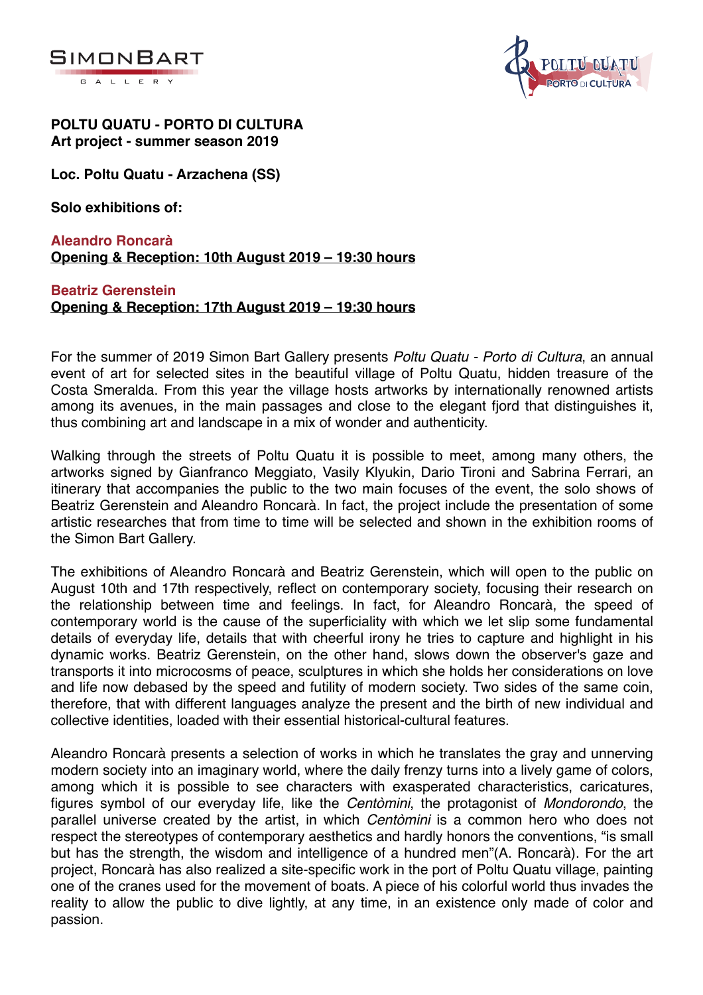



#### **POLTU QUATU - PORTO DI CULTURA Art project - summer season 2019**

**Loc. Poltu Quatu - Arzachena (SS)**

**Solo exhibitions of:**

# **Aleandro Roncarà Opening & Reception: 10th August 2019 – 19:30 hours**

# **Beatriz Gerenstein Opening & Reception: 17th August 2019 – 19:30 hours**

For the summer of 2019 Simon Bart Gallery presents *Poltu Quatu - Porto di Cultura*, an annual event of art for selected sites in the beautiful village of Poltu Quatu, hidden treasure of the Costa Smeralda. From this year the village hosts artworks by internationally renowned artists among its avenues, in the main passages and close to the elegant fjord that distinguishes it, thus combining art and landscape in a mix of wonder and authenticity.

Walking through the streets of Poltu Quatu it is possible to meet, among many others, the artworks signed by Gianfranco Meggiato, Vasily Klyukin, Dario Tironi and Sabrina Ferrari, an itinerary that accompanies the public to the two main focuses of the event, the solo shows of Beatriz Gerenstein and Aleandro Roncarà. In fact, the project include the presentation of some artistic researches that from time to time will be selected and shown in the exhibition rooms of the Simon Bart Gallery.

The exhibitions of Aleandro Roncarà and Beatriz Gerenstein, which will open to the public on August 10th and 17th respectively, reflect on contemporary society, focusing their research on the relationship between time and feelings. In fact, for Aleandro Roncarà, the speed of contemporary world is the cause of the superficiality with which we let slip some fundamental details of everyday life, details that with cheerful irony he tries to capture and highlight in his dynamic works. Beatriz Gerenstein, on the other hand, slows down the observer's gaze and transports it into microcosms of peace, sculptures in which she holds her considerations on love and life now debased by the speed and futility of modern society. Two sides of the same coin, therefore, that with different languages analyze the present and the birth of new individual and collective identities, loaded with their essential historical-cultural features.

Aleandro Roncarà presents a selection of works in which he translates the gray and unnerving modern society into an imaginary world, where the daily frenzy turns into a lively game of colors, among which it is possible to see characters with exasperated characteristics, caricatures, figures symbol of our everyday life, like the *Centòmini*, the protagonist of *Mondorondo*, the parallel universe created by the artist, in which *Centòmini* is a common hero who does not respect the stereotypes of contemporary aesthetics and hardly honors the conventions, "is small but has the strength, the wisdom and intelligence of a hundred men"(A. Roncarà). For the art project, Roncarà has also realized a site-specific work in the port of Poltu Quatu village, painting one of the cranes used for the movement of boats. A piece of his colorful world thus invades the reality to allow the public to dive lightly, at any time, in an existence only made of color and passion.